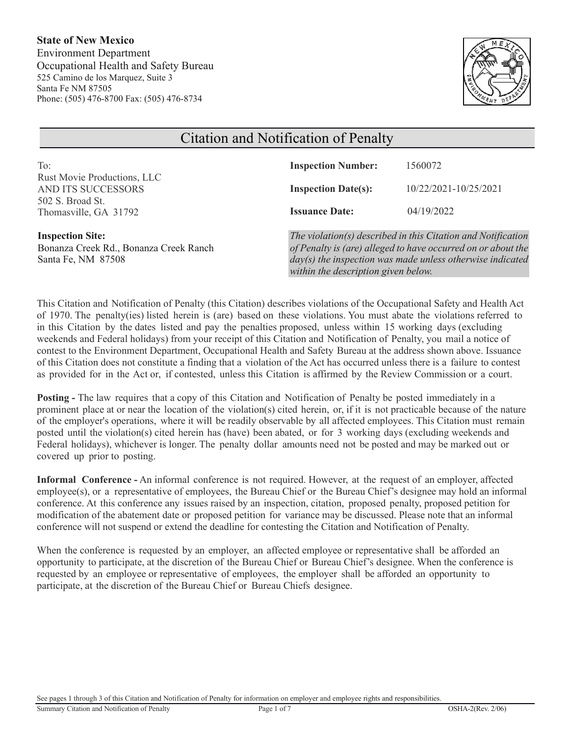**State of New Mexico**  Environment Department Occupational Health and Safety Bureau 525 Camino de los Marquez, Suite 3 Santa Fe NM 87505 Phone: (505) 476-8700 Fax: (505) 476-8734



#### Citation and Notification of Penalty To: Rust Movie Productions, LLC AND ITS SUCCESSORS 502 S. Broad St. Thomasville, GA 31792 **Inspection Number:** 1560072 **Inspection Date(s):** 10/22/2021-10/25/2021 **Issuance Date:** 04/19/2022 **Inspection Site:** Bonanza Creek Rd., Bonanza Creek Ranch Santa Fe, NM 87508 *The violation(s) described in this Citation and Notification of Penalty is (are) alleged to have occurred on or about the day(s) the inspection was made unless otherwise indicated within the description given below.*

This Citation and Notification of Penalty (this Citation) describes violations of the Occupational Safety and Health Act of 1970. The penalty(ies) listed herein is (are) based on these violations. You must abate the violations referred to in this Citation by the dates listed and pay the penalties proposed, unless within 15 working days (excluding weekends and Federal holidays) from your receipt of this Citation and Notification of Penalty, you mail a notice of contest to the Environment Department, Occupational Health and Safety Bureau at the address shown above. Issuance of this Citation does not constitute a finding that a violation of the Act has occurred unless there is a failure to contest as provided for in the Act or, if contested, unless this Citation is affirmed by the Review Commission or a court.

**Posting** – The law requires that a copy of this Citation and Notification of Penalty be posted immediately in a prominent place at or near the location of the violation(s) cited herein, or, if it is not practicable because of the nature of the employer's operations, where it will be readily observable by all affected employees. This Citation must remain posted until the violation(s) cited herein has (have) been abated, or for 3 working days (excluding weekends and Federal holidays), whichever is longer. The penalty dollar amounts need not be posted and may be marked out or covered up prior to posting.

**Informal Conference -** An informal conference is not required. However, at the request of an employer, affected employee(s), or a representative of employees, the Bureau Chief or the Bureau Chief's designee may hold an informal conference. At this conference any issues raised by an inspection, citation, proposed penalty, proposed petition for modification of the abatement date or proposed petition for variance may be discussed. Please note that an informal conference will not suspend or extend the deadline for contesting the Citation and Notification of Penalty.

When the conference is requested by an employer, an affected employee or representative shall be afforded an opportunity to participate, at the discretion of the Bureau Chief or Bureau Chief's designee. When the conference is requested by an employee or representative of employees, the employer shall be afforded an opportunity to participate, at the discretion of the Bureau Chief or Bureau Chiefs designee.

See pages 1 through 3 of this Citation and Notification of Penalty for information on employer and employee rights and responsibilities.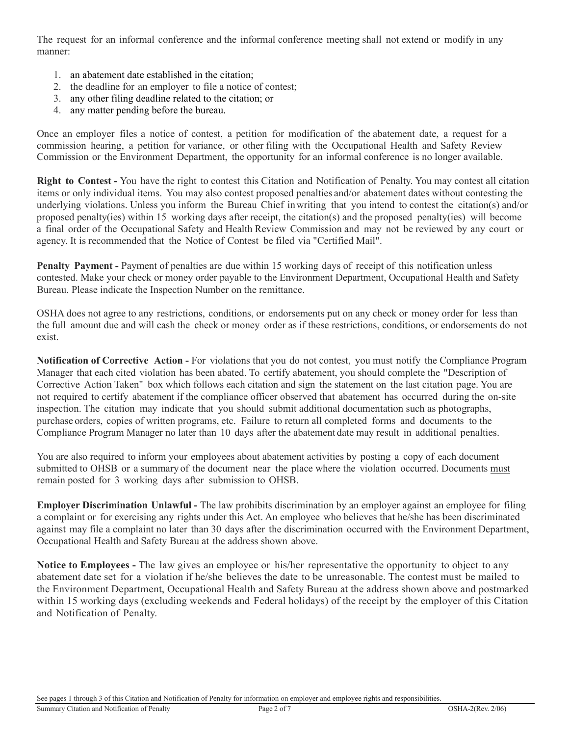The request for an informal conference and the informal conference meeting shall not extend or modify in any manner:

- 1. an abatement date established in the citation;
- 2. the deadline for an employer to file a notice of contest;
- 3. any other filing deadline related to the citation; or
- 4. any matter pending before the bureau.

Once an employer files a notice of contest, a petition for modification of the abatement date, a request for a commission hearing, a petition for variance, or other filing with the Occupational Health and Safety Review Commission or the Environment Department, the opportunity for an informal conference is no longer available.

**Right to Contest -** You have the right to contest this Citation and Notification of Penalty. You may contest all citation items or only individual items. You may also contest proposed penalties and/or abatement dates without contesting the underlying violations. Unless you inform the Bureau Chief inwriting that you intend to contest the citation(s) and/or proposed penalty(ies) within 15 working days after receipt, the citation(s) and the proposed penalty(ies) will become a final order of the Occupational Safety and Health Review Commission and may not be reviewed by any court or agency. It is recommended that the Notice of Contest be filed via "Certified Mail".

**Penalty Payment -** Payment of penalties are due within 15 working days of receipt of this notification unless contested. Make your check or money order payable to the Environment Department, Occupational Health and Safety Bureau. Please indicate the Inspection Number on the remittance.

OSHA does not agree to any restrictions, conditions, or endorsements put on any check or money order for less than the full amount due and will cash the check or money order as if these restrictions, conditions, or endorsements do not exist.

**Notification of Corrective Action -** For violations that you do not contest, you must notify the Compliance Program Manager that each cited violation has been abated. To certify abatement, you should complete the "Description of Corrective Action Taken" box which follows each citation and sign the statement on the last citation page. You are not required to certify abatement if the compliance officer observed that abatement has occurred during the on-site inspection. The citation may indicate that you should submit additional documentation such as photographs, purchase orders, copies of written programs, etc. Failure to return all completed forms and documents to the Compliance Program Manager no later than 10 days after the abatement date may result in additional penalties.

You are also required to inform your employees about abatement activities by posting a copy of each document submitted to OHSB or a summary of the document near the place where the violation occurred. Documents must remain posted for 3 working days after submission to OHSB.

**Employer Discrimination Unlawful -** The law prohibits discrimination by an employer against an employee for filing a complaint or for exercising any rights under this Act. An employee who believes that he/she has been discriminated against may file a complaint no later than 30 days after the discrimination occurred with the Environment Department, Occupational Health and Safety Bureau at the address shown above.

**Notice to Employees -** The law gives an employee or his/her representative the opportunity to object to any abatement date set for a violation if he/she believes the date to be unreasonable. The contest must be mailed to the Environment Department, Occupational Health and Safety Bureau at the address shown above and postmarked within 15 working days (excluding weekends and Federal holidays) of the receipt by the employer of this Citation and Notification of Penalty.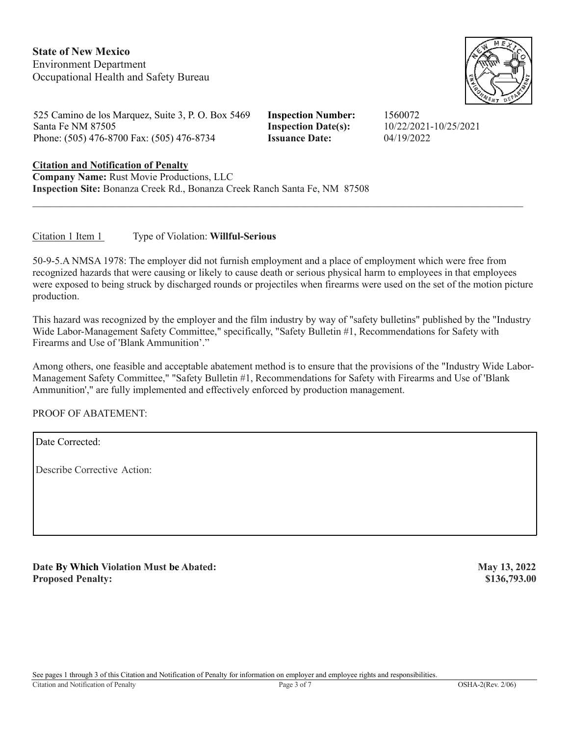**State of New Mexico**  Environment Department Occupational Health and Safety Bureau



525 Camino de los Marquez, Suite 3, P. O. Box 5469 **Inspection Number:** 1560072 Santa Fe NM 87505 **Inspection Date(s):** 10/22/2021-10/25/2021 Phone: (505) 476-8700 Fax: (505) 476-8734 **Issuance Date:** 04/19/2022

# **Citation and Notification of Penalty Company Name:** Rust Movie Productions, LLC

**Inspection Site:** Bonanza Creek Rd., Bonanza Creek Ranch Santa Fe, NM 87508

## Citation 1 Item 1 Type of Violation: **Willful-Serious**

50-9-5.A NMSA 1978: The employer did not furnish employment and a place of employment which were free from recognized hazards that were causing or likely to cause death or serious physical harm to employees in that employees were exposed to being struck by discharged rounds or projectiles when firearms were used on the set of the motion picture production.

This hazard was recognized by the employer and the film industry by way of "safety bulletins" published by the "Industry Wide Labor-Management Safety Committee," specifically, "Safety Bulletin #1, Recommendations for Safety with Firearms and Use of 'Blank Ammunition'."

Among others, one feasible and acceptable abatement method is to ensure that the provisions of the "Industry Wide Labor-Management Safety Committee," "Safety Bulletin #1, Recommendations for Safety with Firearms and Use of 'Blank Ammunition'," are fully implemented and effectively enforced by production management.

PROOF OF ABATEMENT:

Date Corrected:

Describe Corrective Action:

Date By Which Violation Must be Abated: May 13, 2022 **Proposed Penalty:** \$136,793.00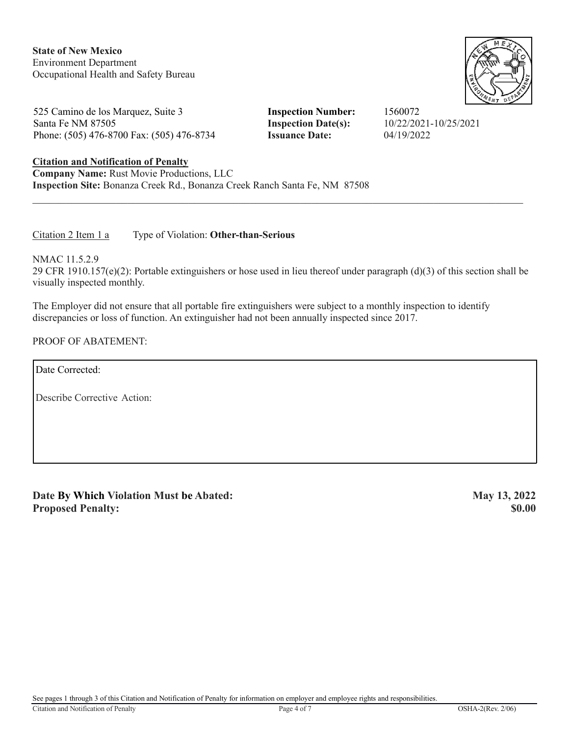**State of New Mexico**  Environment Department Occupational Health and Safety Bureau

525 Camino de los Marquez, Suite 3 **Inspection Number:** 1560072 Santa Fe NM 87505 **Inspection Date(s):** 10/22/2021-10/25/2021 Phone: (505) 476-8700 Fax: (505) 476-8734 **Issuance Date:** 04/19/2022

# **Citation and Notification of Penalty**

**Company Name:** Rust Movie Productions, LLC **Inspection Site:** Bonanza Creek Rd., Bonanza Creek Ranch Santa Fe, NM 87508

Citation 2 Item 1 a Type of Violation: **Other-than-Serious** 

NMAC 11.5.2.9 29 CFR 1910.157(e)(2): Portable extinguishers or hose used in lieu thereof under paragraph (d)(3) of this section shall be visually inspected monthly.

\_\_\_\_\_\_\_\_\_\_\_\_\_\_\_\_\_\_\_\_\_\_\_\_\_\_\_\_\_\_\_\_\_\_\_\_\_\_\_\_\_\_\_\_\_\_\_\_\_\_\_\_\_\_\_\_\_\_\_\_\_\_\_\_\_\_\_\_\_\_\_\_\_\_\_\_\_\_\_\_\_\_\_\_\_\_\_\_

The Employer did not ensure that all portable fire extinguishers were subject to a monthly inspection to identify discrepancies or loss of function. An extinguisher had not been annually inspected since 2017.

### PROOF OF ABATEMENT:

Date Corrected:

Describe Corrective Action:

**Date By Which Violation Must be Abated:** May 13, 2022 **Proposed Penalty:** \$0.00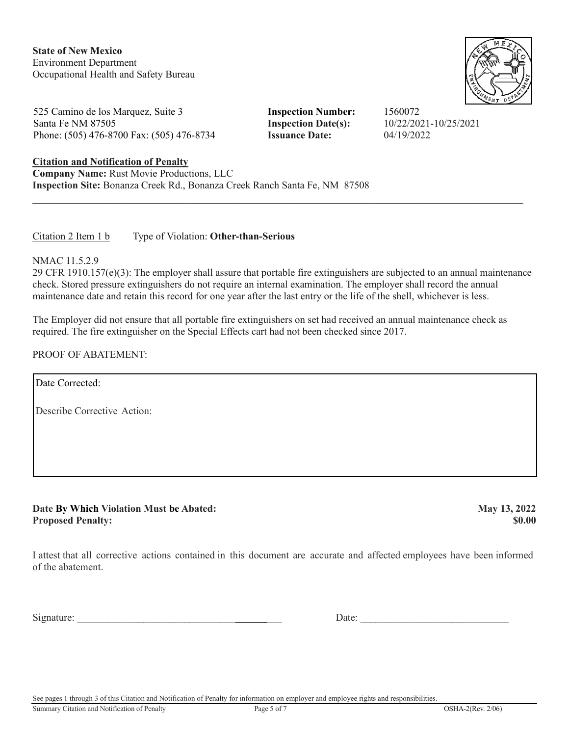**State of New Mexico**  Environment Department Occupational Health and Safety Bureau

525 Camino de los Marquez, Suite 3 **Inspection Number:** 1560072 Santa Fe NM 87505 **Inspection Date(s):** 10/22/2021-10/25/2021 Phone: (505) 476-8700 Fax: (505) 476-8734 **Issuance Date:** 04/19/2022

### **Citation and Notification of Penalty**

**Company Name:** Rust Movie Productions, LLC **Inspection Site:** Bonanza Creek Rd., Bonanza Creek Ranch Santa Fe, NM 87508

#### Citation 2 Item 1 b Type of Violation: **Other-than-Serious**

NMAC 11.5.2.9

29 CFR 1910.157(e)(3): The employer shall assure that portable fire extinguishers are subjected to an annual maintenance check. Stored pressure extinguishers do not require an internal examination. The employer shall record the annual maintenance date and retain this record for one year after the last entry or the life of the shell, whichever is less.

\_\_\_\_\_\_\_\_\_\_\_\_\_\_\_\_\_\_\_\_\_\_\_\_\_\_\_\_\_\_\_\_\_\_\_\_\_\_\_\_\_\_\_\_\_\_\_\_\_\_\_\_\_\_\_\_\_\_\_\_\_\_\_\_\_\_\_\_\_\_\_\_\_\_\_\_\_\_\_\_\_\_\_\_\_\_\_\_

The Employer did not ensure that all portable fire extinguishers on set had received an annual maintenance check as required. The fire extinguisher on the Special Effects cart had not been checked since 2017.

PROOF OF ABATEMENT:

Date Corrected:

Describe Corrective Action:

**Date By Which Violation Must be Abated: May 13, 2022 Proposed Penalty:** \$0.00

I attest that all corrective actions contained in this document are accurate and affected employees have been informed of the abatement.

Signature: \_\_\_\_\_\_\_\_\_\_\_\_\_\_\_\_\_\_\_\_\_\_\_\_\_\_\_\_\_\_\_ \_\_\_ Date: \_\_\_\_\_\_\_\_\_\_\_\_\_\_\_\_\_\_\_\_\_\_\_\_\_\_\_\_\_

See pages 1 through 3 of this Citation and Notification of Penalty for information on employer and employee rights and responsibilities.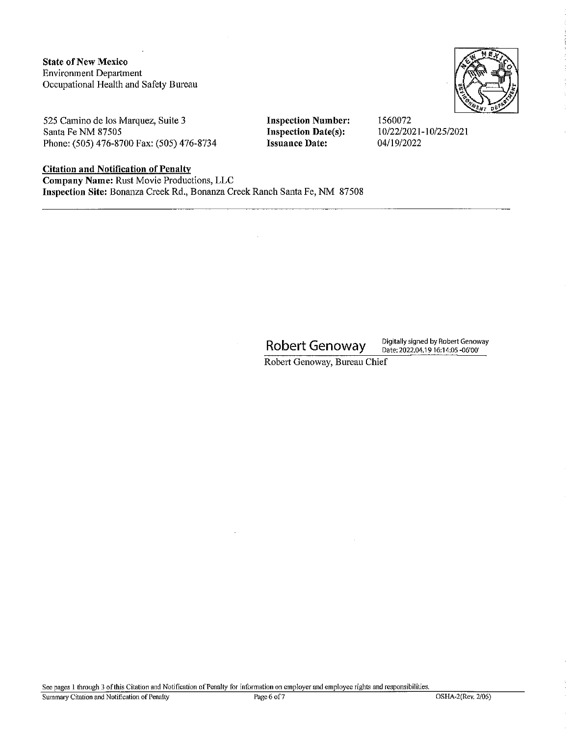**State of New Mexico Environment Department** Occupational Health and Safety Bureau



525 Camino de los Marquez, Suite 3 Santa Fe NM 87505 Phone: (505) 476-8700 Fax: (505) 476-8734

### **Citation and Notification of Penalty**

Company Name: Rust Movie Productions, LLC Inspection Site: Bonanza Creek Rd., Bonanza Creek Ranch Santa Fe, NM 87508

**Robert Genoway** 

**Inspection Number:** 

**Inspection Date(s):** 

**Issuance Date:** 

1560072

04/19/2022

10/22/2021-10/25/2021

Digitally signed by Robert Genoway Date: 2022.04.19 16:14:05 -06'00'

Robert Genoway, Bureau Chief

See pages 1 through 3 of this Citation and Notification of Penalty for information on employer and employee rights and responsibilities.